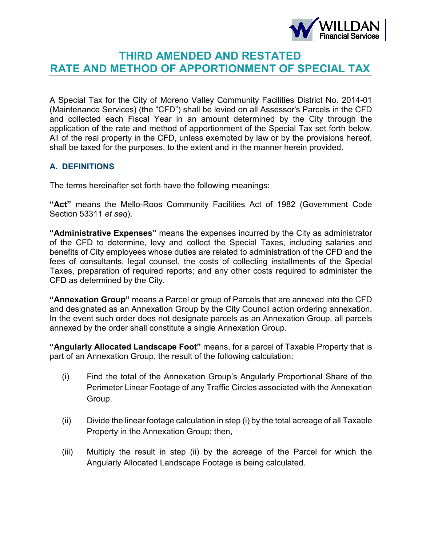

# **THIRD AMENDED AND RESTATED RATE AND METHOD OF APPORTIONMENT OF SPECIAL TAX**

A Special Tax for the City of Moreno Valley Community Facilities District No. 2014-01 (Maintenance Services) (the "CFD") shall be levied on all Assessor's Parcels in the CFD and collected each Fiscal Year in an amount determined by the City through the application of the rate and method of apportionment of the Special Tax set forth below. All of the real property in the CFD, unless exempted by law or by the provisions hereof, shall be taxed for the purposes, to the extent and in the manner herein provided.

## **A. DEFINITIONS**

The terms hereinafter set forth have the following meanings:

**"Act"** means the Mello-Roos Community Facilities Act of 1982 (Government Code Section 53311 *et seq*).

**"Administrative Expenses"** means the expenses incurred by the City as administrator of the CFD to determine, levy and collect the Special Taxes, including salaries and benefits of City employees whose duties are related to administration of the CFD and the fees of consultants, legal counsel, the costs of collecting installments of the Special Taxes, preparation of required reports; and any other costs required to administer the CFD as determined by the City.

**"Annexation Group"** means a Parcel or group of Parcels that are annexed into the CFD and designated as an Annexation Group by the City Council action ordering annexation. In the event such order does not designate parcels as an Annexation Group, all parcels annexed by the order shall constitute a single Annexation Group.

**"Angularly Allocated Landscape Foot"** means, for a parcel of Taxable Property that is part of an Annexation Group, the result of the following calculation:

- (i) Find the total of the Annexation Group's Angularly Proportional Share of the Perimeter Linear Footage of any Traffic Circles associated with the Annexation Group.
- (ii) Divide the linear footage calculation in step (i) by the total acreage of all Taxable Property in the Annexation Group; then,
- (iii) Multiply the result in step (ii) by the acreage of the Parcel for which the Angularly Allocated Landscape Footage is being calculated.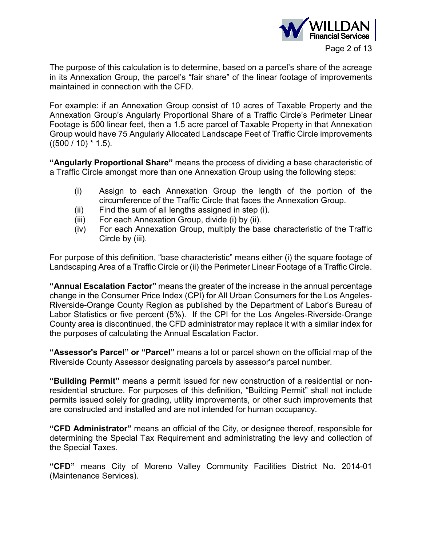

The purpose of this calculation is to determine, based on a parcel's share of the acreage in its Annexation Group, the parcel's "fair share" of the linear footage of improvements maintained in connection with the CFD.

For example: if an Annexation Group consist of 10 acres of Taxable Property and the Annexation Group's Angularly Proportional Share of a Traffic Circle's Perimeter Linear Footage is 500 linear feet, then a 1.5 acre parcel of Taxable Property in that Annexation Group would have 75 Angularly Allocated Landscape Feet of Traffic Circle improvements  $((500 / 10) * 1.5)$ .

**"Angularly Proportional Share"** means the process of dividing a base characteristic of a Traffic Circle amongst more than one Annexation Group using the following steps:

- (i) Assign to each Annexation Group the length of the portion of the circumference of the Traffic Circle that faces the Annexation Group.
- (ii) Find the sum of all lengths assigned in step (i).
- (iii) For each Annexation Group, divide (i) by (ii).
- (iv) For each Annexation Group, multiply the base characteristic of the Traffic Circle by (iii).

For purpose of this definition, "base characteristic" means either (i) the square footage of Landscaping Area of a Traffic Circle or (ii) the Perimeter Linear Footage of a Traffic Circle.

**"Annual Escalation Factor"** means the greater of the increase in the annual percentage change in the Consumer Price Index (CPI) for All Urban Consumers for the Los Angeles-Riverside-Orange County Region as published by the Department of Labor's Bureau of Labor Statistics or five percent (5%). If the CPI for the Los Angeles-Riverside-Orange County area is discontinued, the CFD administrator may replace it with a similar index for the purposes of calculating the Annual Escalation Factor.

**"Assessor's Parcel" or "Parcel"** means a lot or parcel shown on the official map of the Riverside County Assessor designating parcels by assessor's parcel number.

**"Building Permit"** means a permit issued for new construction of a residential or nonresidential structure. For purposes of this definition, "Building Permit" shall not include permits issued solely for grading, utility improvements, or other such improvements that are constructed and installed and are not intended for human occupancy.

**"CFD Administrator"** means an official of the City, or designee thereof, responsible for determining the Special Tax Requirement and administrating the levy and collection of the Special Taxes.

**"CFD"** means City of Moreno Valley Community Facilities District No. 2014-01 (Maintenance Services).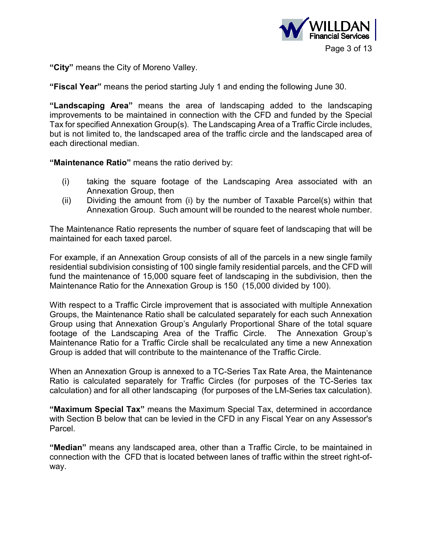

**"City"** means the City of Moreno Valley.

**"Fiscal Year"** means the period starting July 1 and ending the following June 30.

**"Landscaping Area"** means the area of landscaping added to the landscaping improvements to be maintained in connection with the CFD and funded by the Special Tax for specified Annexation Group(s). The Landscaping Area of a Traffic Circle includes, but is not limited to, the landscaped area of the traffic circle and the landscaped area of each directional median.

**"Maintenance Ratio"** means the ratio derived by:

- (i) taking the square footage of the Landscaping Area associated with an Annexation Group, then
- (ii) Dividing the amount from (i) by the number of Taxable Parcel(s) within that Annexation Group. Such amount will be rounded to the nearest whole number.

The Maintenance Ratio represents the number of square feet of landscaping that will be maintained for each taxed parcel.

For example, if an Annexation Group consists of all of the parcels in a new single family residential subdivision consisting of 100 single family residential parcels, and the CFD will fund the maintenance of 15,000 square feet of landscaping in the subdivision, then the Maintenance Ratio for the Annexation Group is 150 (15,000 divided by 100).

With respect to a Traffic Circle improvement that is associated with multiple Annexation Groups, the Maintenance Ratio shall be calculated separately for each such Annexation Group using that Annexation Group's Angularly Proportional Share of the total square footage of the Landscaping Area of the Traffic Circle. The Annexation Group's Maintenance Ratio for a Traffic Circle shall be recalculated any time a new Annexation Group is added that will contribute to the maintenance of the Traffic Circle.

When an Annexation Group is annexed to a TC-Series Tax Rate Area, the Maintenance Ratio is calculated separately for Traffic Circles (for purposes of the TC-Series tax calculation) and for all other landscaping (for purposes of the LM-Series tax calculation).

**"Maximum Special Tax"** means the Maximum Special Tax, determined in accordance with Section B below that can be levied in the CFD in any Fiscal Year on any Assessor's Parcel.

**"Median"** means any landscaped area, other than a Traffic Circle, to be maintained in connection with the CFD that is located between lanes of traffic within the street right-ofway.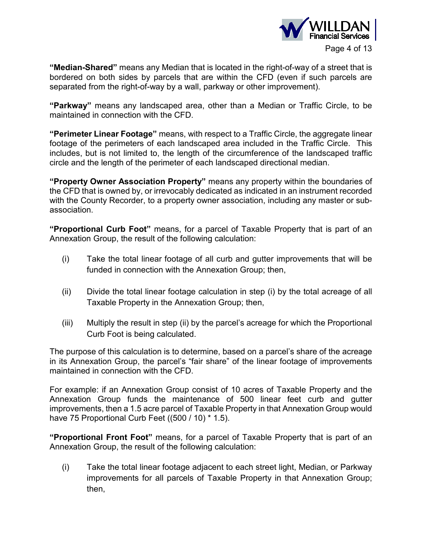

**"Median-Shared"** means any Median that is located in the right-of-way of a street that is bordered on both sides by parcels that are within the CFD (even if such parcels are separated from the right-of-way by a wall, parkway or other improvement).

**"Parkway"** means any landscaped area, other than a Median or Traffic Circle, to be maintained in connection with the CFD.

**"Perimeter Linear Footage"** means, with respect to a Traffic Circle, the aggregate linear footage of the perimeters of each landscaped area included in the Traffic Circle. This includes, but is not limited to, the length of the circumference of the landscaped traffic circle and the length of the perimeter of each landscaped directional median.

**"Property Owner Association Property"** means any property within the boundaries of the CFD that is owned by, or irrevocably dedicated as indicated in an instrument recorded with the County Recorder, to a property owner association, including any master or subassociation.

**"Proportional Curb Foot"** means, for a parcel of Taxable Property that is part of an Annexation Group, the result of the following calculation:

- (i) Take the total linear footage of all curb and gutter improvements that will be funded in connection with the Annexation Group; then,
- (ii) Divide the total linear footage calculation in step (i) by the total acreage of all Taxable Property in the Annexation Group; then,
- (iii) Multiply the result in step (ii) by the parcel's acreage for which the Proportional Curb Foot is being calculated.

The purpose of this calculation is to determine, based on a parcel's share of the acreage in its Annexation Group, the parcel's "fair share" of the linear footage of improvements maintained in connection with the CFD.

For example: if an Annexation Group consist of 10 acres of Taxable Property and the Annexation Group funds the maintenance of 500 linear feet curb and gutter improvements, then a 1.5 acre parcel of Taxable Property in that Annexation Group would have 75 Proportional Curb Feet ((500 / 10) \* 1.5).

**"Proportional Front Foot"** means, for a parcel of Taxable Property that is part of an Annexation Group, the result of the following calculation:

(i) Take the total linear footage adjacent to each street light, Median, or Parkway improvements for all parcels of Taxable Property in that Annexation Group; then,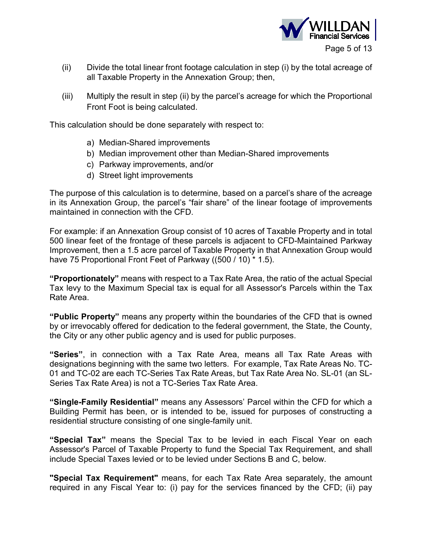

- (ii) Divide the total linear front footage calculation in step (i) by the total acreage of all Taxable Property in the Annexation Group; then,
- (iii) Multiply the result in step (ii) by the parcel's acreage for which the Proportional Front Foot is being calculated.

This calculation should be done separately with respect to:

- a) Median-Shared improvements
- b) Median improvement other than Median-Shared improvements
- c) Parkway improvements, and/or
- d) Street light improvements

The purpose of this calculation is to determine, based on a parcel's share of the acreage in its Annexation Group, the parcel's "fair share" of the linear footage of improvements maintained in connection with the CFD.

For example: if an Annexation Group consist of 10 acres of Taxable Property and in total 500 linear feet of the frontage of these parcels is adjacent to CFD-Maintained Parkway Improvement, then a 1.5 acre parcel of Taxable Property in that Annexation Group would have 75 Proportional Front Feet of Parkway ((500 / 10) \* 1.5).

**"Proportionately"** means with respect to a Tax Rate Area, the ratio of the actual Special Tax levy to the Maximum Special tax is equal for all Assessor's Parcels within the Tax Rate Area.

**"Public Property"** means any property within the boundaries of the CFD that is owned by or irrevocably offered for dedication to the federal government, the State, the County, the City or any other public agency and is used for public purposes.

**"Series"**, in connection with a Tax Rate Area, means all Tax Rate Areas with designations beginning with the same two letters. For example, Tax Rate Areas No. TC-01 and TC-02 are each TC-Series Tax Rate Areas, but Tax Rate Area No. SL-01 (an SL-Series Tax Rate Area) is not a TC-Series Tax Rate Area.

**"Single-Family Residential"** means any Assessors' Parcel within the CFD for which a Building Permit has been, or is intended to be, issued for purposes of constructing a residential structure consisting of one single-family unit.

**"Special Tax"** means the Special Tax to be levied in each Fiscal Year on each Assessor's Parcel of Taxable Property to fund the Special Tax Requirement, and shall include Special Taxes levied or to be levied under Sections B and C, below.

**"Special Tax Requirement"** means, for each Tax Rate Area separately, the amount required in any Fiscal Year to: (i) pay for the services financed by the CFD; (ii) pay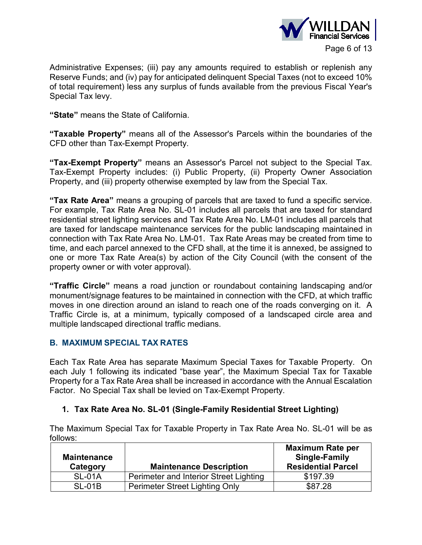

Administrative Expenses; (iii) pay any amounts required to establish or replenish any Reserve Funds; and (iv) pay for anticipated delinquent Special Taxes (not to exceed 10% of total requirement) less any surplus of funds available from the previous Fiscal Year's Special Tax levy.

**"State"** means the State of California.

**"Taxable Property"** means all of the Assessor's Parcels within the boundaries of the CFD other than Tax-Exempt Property.

**"Tax-Exempt Property"** means an Assessor's Parcel not subject to the Special Tax. Tax-Exempt Property includes: (i) Public Property, (ii) Property Owner Association Property, and (iii) property otherwise exempted by law from the Special Tax.

**"Tax Rate Area"** means a grouping of parcels that are taxed to fund a specific service. For example, Tax Rate Area No. SL-01 includes all parcels that are taxed for standard residential street lighting services and Tax Rate Area No. LM-01 includes all parcels that are taxed for landscape maintenance services for the public landscaping maintained in connection with Tax Rate Area No. LM-01. Tax Rate Areas may be created from time to time, and each parcel annexed to the CFD shall, at the time it is annexed, be assigned to one or more Tax Rate Area(s) by action of the City Council (with the consent of the property owner or with voter approval).

**"Traffic Circle"** means a road junction or roundabout containing landscaping and/or monument/signage features to be maintained in connection with the CFD, at which traffic moves in one direction around an island to reach one of the roads converging on it. A Traffic Circle is, at a minimum, typically composed of a landscaped circle area and multiple landscaped directional traffic medians.

### **B. MAXIMUM SPECIAL TAX RATES**

Each Tax Rate Area has separate Maximum Special Taxes for Taxable Property. On each July 1 following its indicated "base year", the Maximum Special Tax for Taxable Property for a Tax Rate Area shall be increased in accordance with the Annual Escalation Factor. No Special Tax shall be levied on Tax-Exempt Property.

### **1. Tax Rate Area No. SL-01 (Single-Family Residential Street Lighting)**

The Maximum Special Tax for Taxable Property in Tax Rate Area No. SL-01 will be as follows:

| <b>Maintenance</b><br>Category | <b>Maintenance Description</b>         | <b>Maximum Rate per</b><br><b>Single-Family</b><br><b>Residential Parcel</b> |
|--------------------------------|----------------------------------------|------------------------------------------------------------------------------|
| <b>SL-01A</b>                  | Perimeter and Interior Street Lighting | \$197.39                                                                     |
| <b>SL-01B</b>                  | <b>Perimeter Street Lighting Only</b>  | \$87.28                                                                      |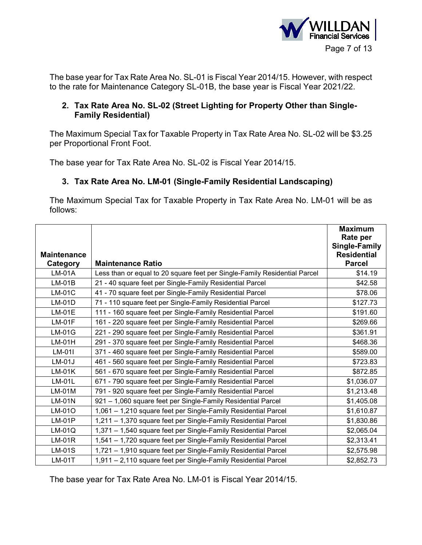

The base year for Tax Rate Area No. SL-01 is Fiscal Year 2014/15. However, with respect to the rate for Maintenance Category SL-01B, the base year is Fiscal Year 2021/22.

### **2. Tax Rate Area No. SL-02 (Street Lighting for Property Other than Single-Family Residential)**

The Maximum Special Tax for Taxable Property in Tax Rate Area No. SL-02 will be \$3.25 per Proportional Front Foot.

The base year for Tax Rate Area No. SL-02 is Fiscal Year 2014/15.

## **3. Tax Rate Area No. LM-01 (Single-Family Residential Landscaping)**

The Maximum Special Tax for Taxable Property in Tax Rate Area No. LM-01 will be as follows:

|                    |                                                                           | <b>Maximum</b><br>Rate per |
|--------------------|---------------------------------------------------------------------------|----------------------------|
|                    |                                                                           | <b>Single-Family</b>       |
| <b>Maintenance</b> |                                                                           | <b>Residential</b>         |
| Category           | <b>Maintenance Ratio</b>                                                  | <b>Parcel</b>              |
| LM-01A             | Less than or equal to 20 square feet per Single-Family Residential Parcel | \$14.19                    |
| $LM-01B$           | 21 - 40 square feet per Single-Family Residential Parcel                  | \$42.58                    |
| $LM-01C$           | 41 - 70 square feet per Single-Family Residential Parcel                  | \$78.06                    |
| $LM-01D$           | 71 - 110 square feet per Single-Family Residential Parcel                 | \$127.73                   |
| $LM-01E$           | 111 - 160 square feet per Single-Family Residential Parcel                | \$191.60                   |
| $LM-01F$           | 161 - 220 square feet per Single-Family Residential Parcel                | \$269.66                   |
| $LM-01G$           | 221 - 290 square feet per Single-Family Residential Parcel                | \$361.91                   |
| $LM-01H$           | 291 - 370 square feet per Single-Family Residential Parcel                | \$468.36                   |
| LM-01I             | 371 - 460 square feet per Single-Family Residential Parcel                | \$589.00                   |
| $LM-01J$           | 461 - 560 square feet per Single-Family Residential Parcel                | \$723.83                   |
| $LM-01K$           | 561 - 670 square feet per Single-Family Residential Parcel                | \$872.85                   |
| $LM-01L$           | 671 - 790 square feet per Single-Family Residential Parcel                | \$1,036.07                 |
| $LM-01M$           | 791 - 920 square feet per Single-Family Residential Parcel                | \$1,213.48                 |
| $LM-01N$           | 921 - 1,060 square feet per Single-Family Residential Parcel              | \$1,405.08                 |
| LM-01O             | 1,061 - 1,210 square feet per Single-Family Residential Parcel            | \$1,610.87                 |
| $LM-01P$           | 1,211 - 1,370 square feet per Single-Family Residential Parcel            | \$1,830.86                 |
| $LM-01Q$           | 1,371 - 1,540 square feet per Single-Family Residential Parcel            | \$2,065.04                 |
| $LM-01R$           | 1,541 - 1,720 square feet per Single-Family Residential Parcel            | \$2,313.41                 |
| $LM-01S$           | 1,721 - 1,910 square feet per Single-Family Residential Parcel            | \$2,575.98                 |
| $LM-01T$           | 1,911 - 2,110 square feet per Single-Family Residential Parcel            | \$2,852.73                 |

The base year for Tax Rate Area No. LM-01 is Fiscal Year 2014/15.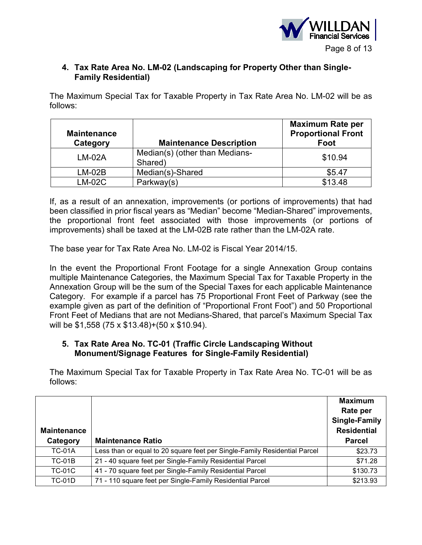

### **4. Tax Rate Area No. LM-02 (Landscaping for Property Other than Single-Family Residential)**

The Maximum Special Tax for Taxable Property in Tax Rate Area No. LM-02 will be as follows:

| <b>Maintenance</b><br>Category | <b>Maintenance Description</b>            | <b>Maximum Rate per</b><br><b>Proportional Front</b><br>Foot |
|--------------------------------|-------------------------------------------|--------------------------------------------------------------|
| $LM-02A$                       | Median(s) (other than Medians-<br>Shared) | \$10.94                                                      |
| LM-02B                         | Median(s)-Shared                          | \$5.47                                                       |
| $LM-02C$                       | Parkway(s)                                | \$13.48                                                      |

If, as a result of an annexation, improvements (or portions of improvements) that had been classified in prior fiscal years as "Median" become "Median-Shared" improvements, the proportional front feet associated with those improvements (or portions of improvements) shall be taxed at the LM-02B rate rather than the LM-02A rate.

The base year for Tax Rate Area No. LM-02 is Fiscal Year 2014/15.

In the event the Proportional Front Footage for a single Annexation Group contains multiple Maintenance Categories, the Maximum Special Tax for Taxable Property in the Annexation Group will be the sum of the Special Taxes for each applicable Maintenance Category. For example if a parcel has 75 Proportional Front Feet of Parkway (see the example given as part of the definition of "Proportional Front Foot") and 50 Proportional Front Feet of Medians that are not Medians-Shared, that parcel's Maximum Special Tax will be \$1,558 (75 x \$13.48)+(50 x \$10.94).

### **5. Tax Rate Area No. TC-01 (Traffic Circle Landscaping Without Monument/Signage Features for Single-Family Residential)**

The Maximum Special Tax for Taxable Property in Tax Rate Area No. TC-01 will be as follows:

| <b>Maintenance</b><br>Category | <b>Maintenance Ratio</b>                                                  | <b>Maximum</b><br>Rate per<br>Single-Family<br><b>Residential</b><br><b>Parcel</b> |
|--------------------------------|---------------------------------------------------------------------------|------------------------------------------------------------------------------------|
|                                |                                                                           |                                                                                    |
| <b>TC-01A</b>                  | Less than or equal to 20 square feet per Single-Family Residential Parcel | \$23.73                                                                            |
| TC-01B                         | 21 - 40 square feet per Single-Family Residential Parcel                  | \$71.28                                                                            |
| <b>TC-01C</b>                  | 41 - 70 square feet per Single-Family Residential Parcel                  | \$130.73                                                                           |
| TC-01D                         | 71 - 110 square feet per Single-Family Residential Parcel                 | \$213.93                                                                           |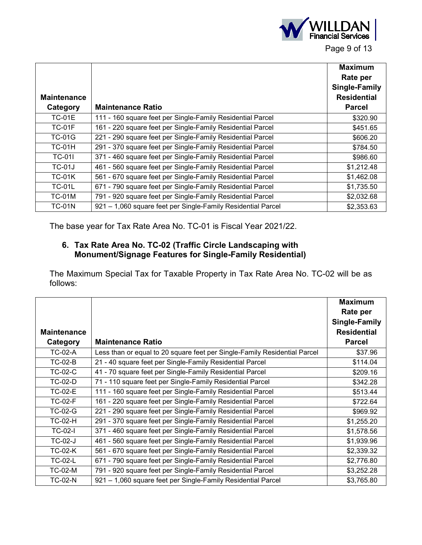

| <b>Maintenance</b> |                                                              | <b>Maximum</b><br>Rate per<br>Single-Family<br><b>Residential</b> |
|--------------------|--------------------------------------------------------------|-------------------------------------------------------------------|
| Category           | <b>Maintenance Ratio</b>                                     | <b>Parcel</b>                                                     |
| <b>TC-01E</b>      | 111 - 160 square feet per Single-Family Residential Parcel   | \$320.90                                                          |
| <b>TC-01F</b>      | 161 - 220 square feet per Single-Family Residential Parcel   | \$451.65                                                          |
| <b>TC-01G</b>      | 221 - 290 square feet per Single-Family Residential Parcel   | \$606.20                                                          |
| <b>TC-01H</b>      | 291 - 370 square feet per Single-Family Residential Parcel   | \$784.50                                                          |
| <b>TC-01I</b>      | 371 - 460 square feet per Single-Family Residential Parcel   | \$986.60                                                          |
| <b>TC-01J</b>      | 461 - 560 square feet per Single-Family Residential Parcel   | \$1,212.48                                                        |
| <b>TC-01K</b>      | 561 - 670 square feet per Single-Family Residential Parcel   | \$1,462.08                                                        |
| <b>TC-01L</b>      | 671 - 790 square feet per Single-Family Residential Parcel   | \$1,735.50                                                        |
| <b>TC-01M</b>      | 791 - 920 square feet per Single-Family Residential Parcel   | \$2,032.68                                                        |
| <b>TC-01N</b>      | 921 - 1,060 square feet per Single-Family Residential Parcel | \$2,353.63                                                        |

The base year for Tax Rate Area No. TC-01 is Fiscal Year 2021/22.

### **6. Tax Rate Area No. TC-02 (Traffic Circle Landscaping with Monument/Signage Features for Single-Family Residential)**

The Maximum Special Tax for Taxable Property in Tax Rate Area No. TC-02 will be as follows:

|                    |                                                                           | <b>Maximum</b>       |
|--------------------|---------------------------------------------------------------------------|----------------------|
|                    |                                                                           | Rate per             |
|                    |                                                                           | <b>Single-Family</b> |
| <b>Maintenance</b> |                                                                           | <b>Residential</b>   |
| Category           | <b>Maintenance Ratio</b>                                                  | <b>Parcel</b>        |
| <b>TC-02-A</b>     | Less than or equal to 20 square feet per Single-Family Residential Parcel | \$37.96              |
| <b>TC-02-B</b>     | 21 - 40 square feet per Single-Family Residential Parcel                  | \$114.04             |
| <b>TC-02-C</b>     | 41 - 70 square feet per Single-Family Residential Parcel                  | \$209.16             |
| <b>TC-02-D</b>     | 71 - 110 square feet per Single-Family Residential Parcel                 | \$342.28             |
| <b>TC-02-E</b>     | 111 - 160 square feet per Single-Family Residential Parcel                | \$513.44             |
| <b>TC-02-F</b>     | 161 - 220 square feet per Single-Family Residential Parcel                | \$722.64             |
| <b>TC-02-G</b>     | 221 - 290 square feet per Single-Family Residential Parcel                | \$969.92             |
| <b>TC-02-H</b>     | 291 - 370 square feet per Single-Family Residential Parcel                | \$1,255.20           |
| <b>TC-02-I</b>     | 371 - 460 square feet per Single-Family Residential Parcel                | \$1,578.56           |
| <b>TC-02-J</b>     | 461 - 560 square feet per Single-Family Residential Parcel                | \$1,939.96           |
| <b>TC-02-K</b>     | 561 - 670 square feet per Single-Family Residential Parcel                | \$2,339.32           |
| <b>TC-02-L</b>     | 671 - 790 square feet per Single-Family Residential Parcel                | \$2,776.80           |
| TC-02-M            | 791 - 920 square feet per Single-Family Residential Parcel                | \$3,252.28           |
| <b>TC-02-N</b>     | 921 - 1,060 square feet per Single-Family Residential Parcel              | \$3,765.80           |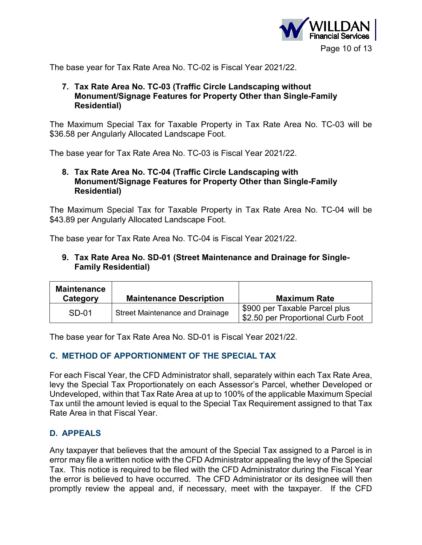

The base year for Tax Rate Area No. TC-02 is Fiscal Year 2021/22.

### **7. Tax Rate Area No. TC-03 (Traffic Circle Landscaping without Monument/Signage Features for Property Other than Single-Family Residential)**

The Maximum Special Tax for Taxable Property in Tax Rate Area No. TC-03 will be \$36.58 per Angularly Allocated Landscape Foot.

The base year for Tax Rate Area No. TC-03 is Fiscal Year 2021/22.

### **8. Tax Rate Area No. TC-04 (Traffic Circle Landscaping with Monument/Signage Features for Property Other than Single-Family Residential)**

The Maximum Special Tax for Taxable Property in Tax Rate Area No. TC-04 will be \$43.89 per Angularly Allocated Landscape Foot.

The base year for Tax Rate Area No. TC-04 is Fiscal Year 2021/22.

### **9. Tax Rate Area No. SD-01 (Street Maintenance and Drainage for Single-Family Residential)**

| <b>Maintenance</b><br>Category | <b>Maintenance Description</b>  | <b>Maximum Rate</b>                                                |  |
|--------------------------------|---------------------------------|--------------------------------------------------------------------|--|
| SD-01                          | Street Maintenance and Drainage | \$900 per Taxable Parcel plus<br>\$2.50 per Proportional Curb Foot |  |

The base year for Tax Rate Area No. SD-01 is Fiscal Year 2021/22.

## **C. METHOD OF APPORTIONMENT OF THE SPECIAL TAX**

For each Fiscal Year, the CFD Administrator shall, separately within each Tax Rate Area, levy the Special Tax Proportionately on each Assessor's Parcel, whether Developed or Undeveloped, within that Tax Rate Area at up to 100% of the applicable Maximum Special Tax until the amount levied is equal to the Special Tax Requirement assigned to that Tax Rate Area in that Fiscal Year.

## **D. APPEALS**

Any taxpayer that believes that the amount of the Special Tax assigned to a Parcel is in error may file a written notice with the CFD Administrator appealing the levy of the Special Tax. This notice is required to be filed with the CFD Administrator during the Fiscal Year the error is believed to have occurred. The CFD Administrator or its designee will then promptly review the appeal and, if necessary, meet with the taxpayer. If the CFD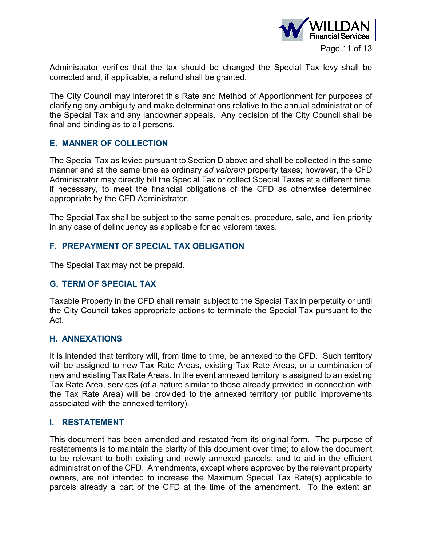

Administrator verifies that the tax should be changed the Special Tax levy shall be corrected and, if applicable, a refund shall be granted.

The City Council may interpret this Rate and Method of Apportionment for purposes of clarifying any ambiguity and make determinations relative to the annual administration of the Special Tax and any landowner appeals. Any decision of the City Council shall be final and binding as to all persons.

### **E. MANNER OF COLLECTION**

The Special Tax as levied pursuant to Section D above and shall be collected in the same manner and at the same time as ordinary *ad valorem* property taxes; however, the CFD Administrator may directly bill the Special Tax or collect Special Taxes at a different time, if necessary, to meet the financial obligations of the CFD as otherwise determined appropriate by the CFD Administrator.

The Special Tax shall be subject to the same penalties, procedure, sale, and lien priority in any case of delinquency as applicable for ad valorem taxes.

### **F. PREPAYMENT OF SPECIAL TAX OBLIGATION**

The Special Tax may not be prepaid.

### **G. TERM OF SPECIAL TAX**

Taxable Property in the CFD shall remain subject to the Special Tax in perpetuity or until the City Council takes appropriate actions to terminate the Special Tax pursuant to the Act.

### **H. ANNEXATIONS**

It is intended that territory will, from time to time, be annexed to the CFD. Such territory will be assigned to new Tax Rate Areas, existing Tax Rate Areas, or a combination of new and existing Tax Rate Areas. In the event annexed territory is assigned to an existing Tax Rate Area, services (of a nature similar to those already provided in connection with the Tax Rate Area) will be provided to the annexed territory (or public improvements associated with the annexed territory).

#### **I. RESTATEMENT**

This document has been amended and restated from its original form. The purpose of restatements is to maintain the clarity of this document over time; to allow the document to be relevant to both existing and newly annexed parcels; and to aid in the efficient administration of the CFD. Amendments, except where approved by the relevant property owners, are not intended to increase the Maximum Special Tax Rate(s) applicable to parcels already a part of the CFD at the time of the amendment. To the extent an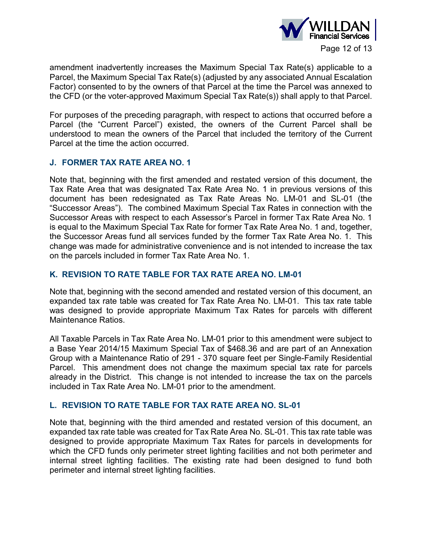

amendment inadvertently increases the Maximum Special Tax Rate(s) applicable to a Parcel, the Maximum Special Tax Rate(s) (adjusted by any associated Annual Escalation Factor) consented to by the owners of that Parcel at the time the Parcel was annexed to the CFD (or the voter-approved Maximum Special Tax Rate(s)) shall apply to that Parcel.

For purposes of the preceding paragraph, with respect to actions that occurred before a Parcel (the "Current Parcel") existed, the owners of the Current Parcel shall be understood to mean the owners of the Parcel that included the territory of the Current Parcel at the time the action occurred.

### **J. FORMER TAX RATE AREA NO. 1**

Note that, beginning with the first amended and restated version of this document, the Tax Rate Area that was designated Tax Rate Area No. 1 in previous versions of this document has been redesignated as Tax Rate Areas No. LM-01 and SL-01 (the "Successor Areas"). The combined Maximum Special Tax Rates in connection with the Successor Areas with respect to each Assessor's Parcel in former Tax Rate Area No. 1 is equal to the Maximum Special Tax Rate for former Tax Rate Area No. 1 and, together, the Successor Areas fund all services funded by the former Tax Rate Area No. 1. This change was made for administrative convenience and is not intended to increase the tax on the parcels included in former Tax Rate Area No. 1.

### **K. REVISION TO RATE TABLE FOR TAX RATE AREA NO. LM-01**

Note that, beginning with the second amended and restated version of this document, an expanded tax rate table was created for Tax Rate Area No. LM-01. This tax rate table was designed to provide appropriate Maximum Tax Rates for parcels with different Maintenance Ratios.

All Taxable Parcels in Tax Rate Area No. LM-01 prior to this amendment were subject to a Base Year 2014/15 Maximum Special Tax of \$468.36 and are part of an Annexation Group with a Maintenance Ratio of 291 - 370 square feet per Single-Family Residential Parcel. This amendment does not change the maximum special tax rate for parcels already in the District. This change is not intended to increase the tax on the parcels included in Tax Rate Area No. LM-01 prior to the amendment.

### **L. REVISION TO RATE TABLE FOR TAX RATE AREA NO. SL-01**

Note that, beginning with the third amended and restated version of this document, an expanded tax rate table was created for Tax Rate Area No. SL-01. This tax rate table was designed to provide appropriate Maximum Tax Rates for parcels in developments for which the CFD funds only perimeter street lighting facilities and not both perimeter and internal street lighting facilities. The existing rate had been designed to fund both perimeter and internal street lighting facilities.